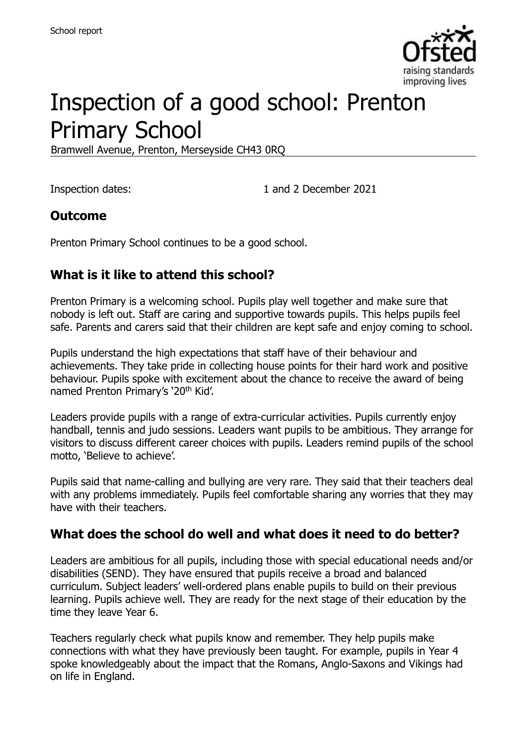

# Inspection of a good school: Prenton Primary School

Bramwell Avenue, Prenton, Merseyside CH43 0RQ

Inspection dates: 1 and 2 December 2021

#### **Outcome**

Prenton Primary School continues to be a good school.

# **What is it like to attend this school?**

Prenton Primary is a welcoming school. Pupils play well together and make sure that nobody is left out. Staff are caring and supportive towards pupils. This helps pupils feel safe. Parents and carers said that their children are kept safe and enjoy coming to school.

Pupils understand the high expectations that staff have of their behaviour and achievements. They take pride in collecting house points for their hard work and positive behaviour. Pupils spoke with excitement about the chance to receive the award of being named Prenton Primary's '20th Kid'.

Leaders provide pupils with a range of extra-curricular activities. Pupils currently enjoy handball, tennis and judo sessions. Leaders want pupils to be ambitious. They arrange for visitors to discuss different career choices with pupils. Leaders remind pupils of the school motto, 'Believe to achieve'.

Pupils said that name-calling and bullying are very rare. They said that their teachers deal with any problems immediately. Pupils feel comfortable sharing any worries that they may have with their teachers.

#### **What does the school do well and what does it need to do better?**

Leaders are ambitious for all pupils, including those with special educational needs and/or disabilities (SEND). They have ensured that pupils receive a broad and balanced curriculum. Subject leaders' well-ordered plans enable pupils to build on their previous learning. Pupils achieve well. They are ready for the next stage of their education by the time they leave Year 6.

Teachers regularly check what pupils know and remember. They help pupils make connections with what they have previously been taught. For example, pupils in Year 4 spoke knowledgeably about the impact that the Romans, Anglo-Saxons and Vikings had on life in England.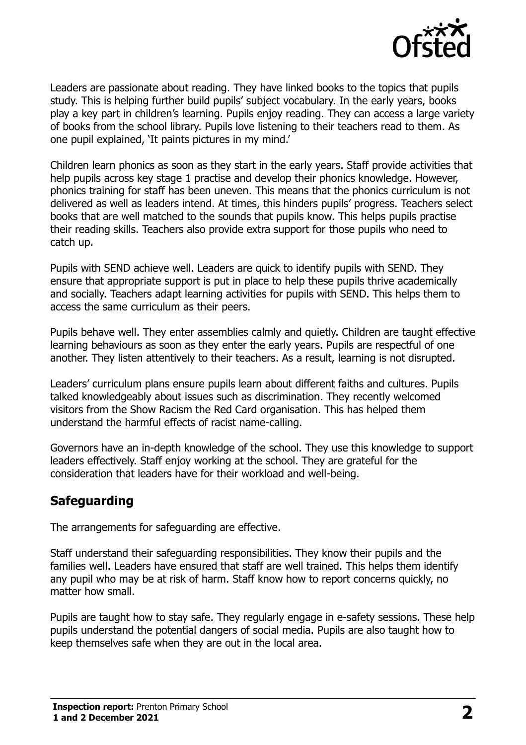

Leaders are passionate about reading. They have linked books to the topics that pupils study. This is helping further build pupils' subject vocabulary. In the early years, books play a key part in children's learning. Pupils enjoy reading. They can access a large variety of books from the school library. Pupils love listening to their teachers read to them. As one pupil explained, 'It paints pictures in my mind.'

Children learn phonics as soon as they start in the early years. Staff provide activities that help pupils across key stage 1 practise and develop their phonics knowledge. However, phonics training for staff has been uneven. This means that the phonics curriculum is not delivered as well as leaders intend. At times, this hinders pupils' progress. Teachers select books that are well matched to the sounds that pupils know. This helps pupils practise their reading skills. Teachers also provide extra support for those pupils who need to catch up.

Pupils with SEND achieve well. Leaders are quick to identify pupils with SEND. They ensure that appropriate support is put in place to help these pupils thrive academically and socially. Teachers adapt learning activities for pupils with SEND. This helps them to access the same curriculum as their peers.

Pupils behave well. They enter assemblies calmly and quietly. Children are taught effective learning behaviours as soon as they enter the early years. Pupils are respectful of one another. They listen attentively to their teachers. As a result, learning is not disrupted.

Leaders' curriculum plans ensure pupils learn about different faiths and cultures. Pupils talked knowledgeably about issues such as discrimination. They recently welcomed visitors from the Show Racism the Red Card organisation. This has helped them understand the harmful effects of racist name-calling.

Governors have an in-depth knowledge of the school. They use this knowledge to support leaders effectively. Staff enjoy working at the school. They are grateful for the consideration that leaders have for their workload and well-being.

#### **Safeguarding**

The arrangements for safeguarding are effective.

Staff understand their safeguarding responsibilities. They know their pupils and the families well. Leaders have ensured that staff are well trained. This helps them identify any pupil who may be at risk of harm. Staff know how to report concerns quickly, no matter how small.

Pupils are taught how to stay safe. They regularly engage in e-safety sessions. These help pupils understand the potential dangers of social media. Pupils are also taught how to keep themselves safe when they are out in the local area.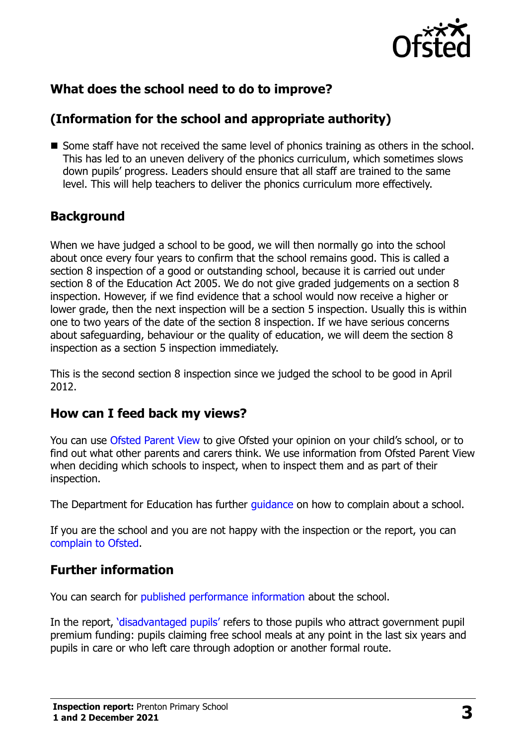

# **What does the school need to do to improve?**

# **(Information for the school and appropriate authority)**

Some staff have not received the same level of phonics training as others in the school. This has led to an uneven delivery of the phonics curriculum, which sometimes slows down pupils' progress. Leaders should ensure that all staff are trained to the same level. This will help teachers to deliver the phonics curriculum more effectively.

# **Background**

When we have judged a school to be good, we will then normally go into the school about once every four years to confirm that the school remains good. This is called a section 8 inspection of a good or outstanding school, because it is carried out under section 8 of the Education Act 2005. We do not give graded judgements on a section 8 inspection. However, if we find evidence that a school would now receive a higher or lower grade, then the next inspection will be a section 5 inspection. Usually this is within one to two years of the date of the section 8 inspection. If we have serious concerns about safeguarding, behaviour or the quality of education, we will deem the section 8 inspection as a section 5 inspection immediately.

This is the second section 8 inspection since we judged the school to be good in April 2012.

#### **How can I feed back my views?**

You can use [Ofsted Parent View](https://parentview.ofsted.gov.uk/) to give Ofsted your opinion on your child's school, or to find out what other parents and carers think. We use information from Ofsted Parent View when deciding which schools to inspect, when to inspect them and as part of their inspection.

The Department for Education has further quidance on how to complain about a school.

If you are the school and you are not happy with the inspection or the report, you can [complain to Ofsted.](https://www.gov.uk/complain-ofsted-report)

# **Further information**

You can search for [published performance information](http://www.compare-school-performance.service.gov.uk/) about the school.

In the report, '[disadvantaged pupils](http://www.gov.uk/guidance/pupil-premium-information-for-schools-and-alternative-provision-settings)' refers to those pupils who attract government pupil premium funding: pupils claiming free school meals at any point in the last six years and pupils in care or who left care through adoption or another formal route.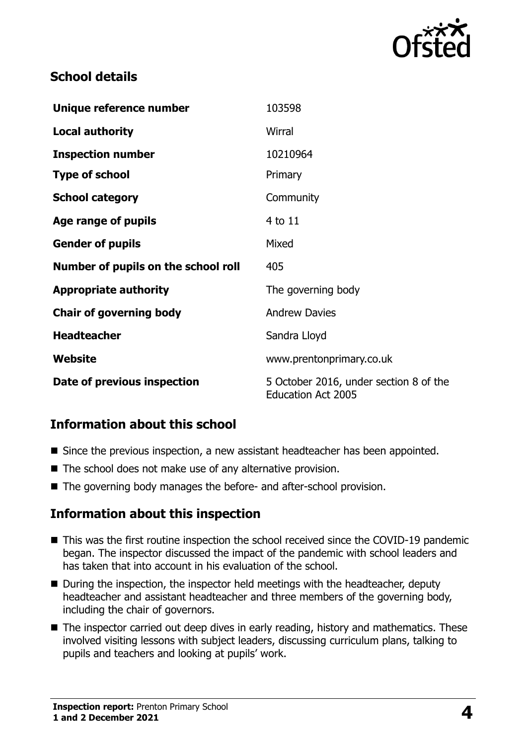

#### **School details**

| Unique reference number             | 103598                                                              |
|-------------------------------------|---------------------------------------------------------------------|
| <b>Local authority</b>              | Wirral                                                              |
| <b>Inspection number</b>            | 10210964                                                            |
| <b>Type of school</b>               | Primary                                                             |
| <b>School category</b>              | Community                                                           |
| Age range of pupils                 | $4$ to $11$                                                         |
| <b>Gender of pupils</b>             | Mixed                                                               |
| Number of pupils on the school roll | 405                                                                 |
| <b>Appropriate authority</b>        | The governing body                                                  |
| <b>Chair of governing body</b>      | <b>Andrew Davies</b>                                                |
| <b>Headteacher</b>                  | Sandra Lloyd                                                        |
| Website                             | www.prentonprimary.co.uk                                            |
| Date of previous inspection         | 5 October 2016, under section 8 of the<br><b>Education Act 2005</b> |

# **Information about this school**

- Since the previous inspection, a new assistant headteacher has been appointed.
- The school does not make use of any alternative provision.
- The governing body manages the before- and after-school provision.

#### **Information about this inspection**

- This was the first routine inspection the school received since the COVID-19 pandemic began. The inspector discussed the impact of the pandemic with school leaders and has taken that into account in his evaluation of the school.
- During the inspection, the inspector held meetings with the headteacher, deputy headteacher and assistant headteacher and three members of the governing body, including the chair of governors.
- The inspector carried out deep dives in early reading, history and mathematics. These involved visiting lessons with subject leaders, discussing curriculum plans, talking to pupils and teachers and looking at pupils' work.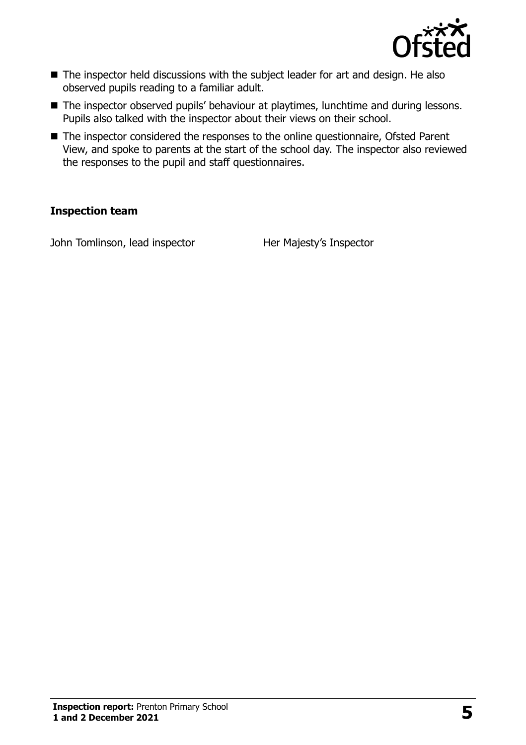

- The inspector held discussions with the subject leader for art and design. He also observed pupils reading to a familiar adult.
- The inspector observed pupils' behaviour at playtimes, lunchtime and during lessons. Pupils also talked with the inspector about their views on their school.
- The inspector considered the responses to the online questionnaire, Ofsted Parent View, and spoke to parents at the start of the school day. The inspector also reviewed the responses to the pupil and staff questionnaires.

#### **Inspection team**

John Tomlinson, lead inspector Her Majesty's Inspector